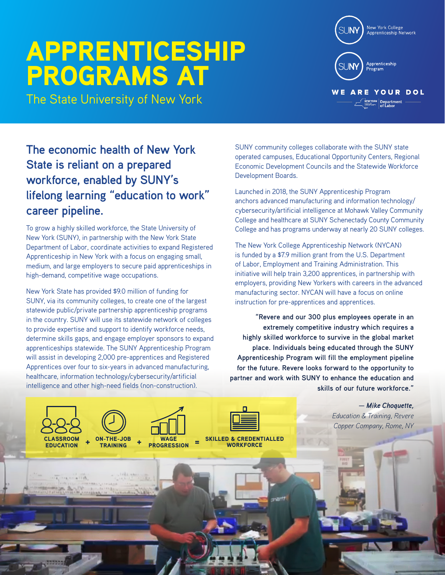## APPRENTICESHIP PROGRAMS AT

The State University of New York

SUNY community colleges collaborate with the SUNY state operated campuses, Educational Opportunity Centers, Regional Economic Development Councils and the Statewide Workforce Development Boards.

Launched in 2018, the SUNY Apprenticeship Program anchors advanced manufacturing and information technology/ cybersecurity/artificial intelligence at Mohawk Valley Community College and healthcare at SUNY Schenectady County Community College and has programs underway at nearly 20 SUNY colleges.

The New York College Apprenticeship Network (NYCAN) is funded by a \$7.9 million grant from the U.S. Department of Labor, Employment and Training Administration. This initiative will help train 3,200 apprentices, in partnership with employers, providing New Yorkers with careers in the advanced manufacturing sector. NYCAN will have a focus on online instruction for pre-apprentices and apprentices.

**"Revere and our 300 plus employees operate in an extremely competitive industry which requires a highly skilled workforce to survive in the global market place. Individuals being educated through the SUNY Apprenticeship Program will fill the employment pipeline for the future. Revere looks forward to the opportunity to partner and work with SUNY to enhance the education and skills of our future workforce."** 

> *Education & Training, Revere Copper Company, Rome, NY*

## **The economic health of New York State is reliant on a prepared workforce, enabled by SUNY's lifelong learning "education to work" career pipeline.**

To grow a highly skilled workforce, the State University of New York (SUNY), in partnership with the New York State Department of Labor, coordinate activities to expand Registered Apprenticeship in New York with a focus on engaging small, medium, and large employers to secure paid apprenticeships in high-demand, competitive wage occupations.

New York State has provided \$9.0 million of funding for SUNY, via its community colleges, to create one of the largest statewide public/private partnership apprenticeship programs in the country. SUNY will use its statewide network of colleges to provide expertise and support to identify workforce needs, determine skills gaps, and engage employer sponsors to expand apprenticeships statewide. The SUNY Apprenticeship Program will assist in developing 2,000 pre-apprentices and Registered Apprentices over four to six-years in advanced manufacturing, healthcare, information technology/cybersecurity/artificial intelligence and other high-need fields (non-construction).

> ON-THE-JOB TRAINING

**WAGE**<br>PROGRESSION

 $=$  SKILLED & CREDENTIALLED **WORKFORCE** 

**CLASSROOM** EDUCATION

*— Mike Choquette,* 



Apprenticeship  $\mathbb S\mathsf L\mathsf{J}\mathsf{N}\mathsf{Y}$ 

**WE ARE YOUR DOL NEW YORK** Department